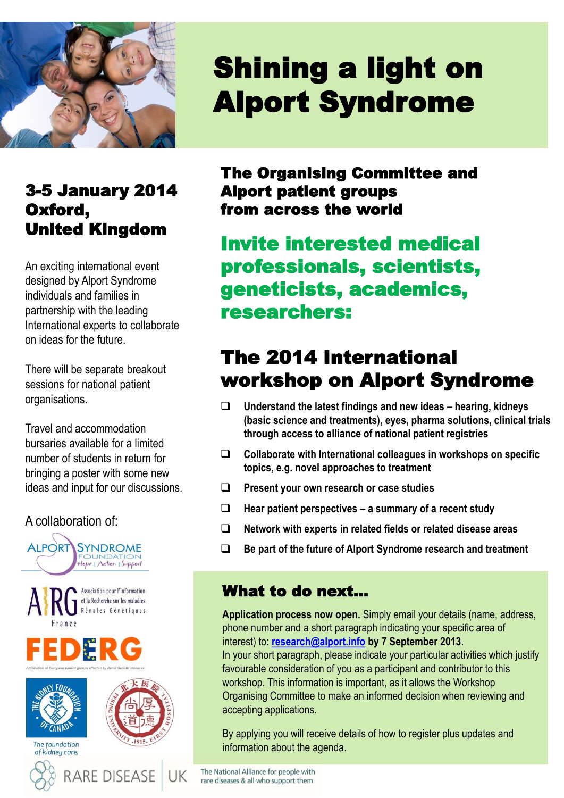

## 3-5 January 2014 Oxford, United Kingdom

An exciting international event designed by Alport Syndrome individuals and families in partnership with the leading International experts to collaborate on ideas for the future.

There will be separate breakout sessions for national patient organisations.

Travel and accommodation bursaries available for a limited number of students in return for bringing a poster with some new ideas and input for our discussions.

#### A collaboration of:



# Shining a light on Alport Syndrome

The Organising Committee and Alport patient groups from across the world

Invite interested medical professionals, scientists, geneticists, academics, researchers:

## The 2014 International workshop on Alport Syndrome

- **Understand the latest findings and new ideas – hearing, kidneys (basic science and treatments), eyes, pharma solutions, clinical trials through access to alliance of national patient registries**
- **Collaborate with International colleagues in workshops on specific topics, e.g. novel approaches to treatment**
- **Present your own research or case studies**
- **Hear patient perspectives – a summary of a recent study**
- **Network with experts in related fields or related disease areas**
- **Be part of the future of Alport Syndrome research and treatment**

#### What to do next…

**Application process now open.** Simply email your details (name, address, phone number and a short paragraph indicating your specific area of interest) to: **[research@alport.info](mailto:research@alport.info) by 7 September 2013**. In your short paragraph, please indicate your particular activities which justify favourable consideration of you as a participant and contributor to this workshop. This information is important, as it allows the Workshop Organising Committee to make an informed decision when reviewing and accepting applications.

By applying you will receive details of how to register plus updates and information about the agenda.

The National Alliance for people with rare diseases & all who support them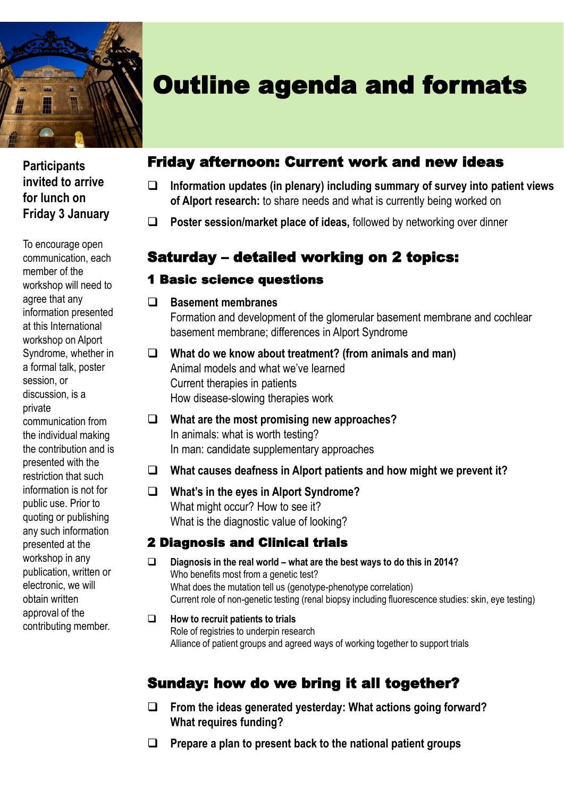

**Participants invited to arrive for lunch on Friday 3 January**

To encourage open communication, each member of the workshop will need to agree that any information presented at this International workshop on Alport Syndrome, whether in a formal talk, poster session or discussion, is a private communication from the individual making the contribution and is presented with the restriction that such information is not for public use. Prior to quoting or publishing any such information presented at the workshop in any publication, written or electronic, we will obtain written approval of the contributing member.

## Outline agenda and formats

### Friday afternoon: Current work and new ideas

- **Information updates (in plenary) including summary of survey into patient views of Alport research:** to share needs and what is currently being worked on
- **Poster session/market place of ideas,** followed by networking over dinner

### Saturday – detailed working on 2 topics:

#### 1 Basic science questions

**Basement membranes**

Formation and development of the glomerular basement membrane and cochlear basement membrane; differences in Alport Syndrome

- **What do we know about treatment? (from animals and man)** Animal models and what we've learned Current therapies in patients How disease-slowing therapies work
- **What are the most promising new approaches?** In animals: what is worth testing? In man: candidate supplementary approaches
- **What causes deafness in Alport patients and how might we prevent it?**
- **What's in the eyes in Alport Syndrome?** What might occur? How to see it? What is the diagnostic value of looking?

#### 2 Diagnosis and Clinical trials

- **Diagnosis in the real world – what are the best ways to do this in 2014?** Who benefits most from a genetic test? What does the mutation tell us (genotype-phenotype correlation) Current role of non-genetic testing (renal biopsy including fluorescence studies: skin, eye testing)
- **How to recruit patients to trials** Role of registries to underpin research Alliance of patient groups and agreed ways of working together to support trials

### Sunday: how do we bring it all together?

- **From the ideas generated yesterday: What actions going forward? What requires funding?**
- **Prepare a plan to present back to the national patient groups**